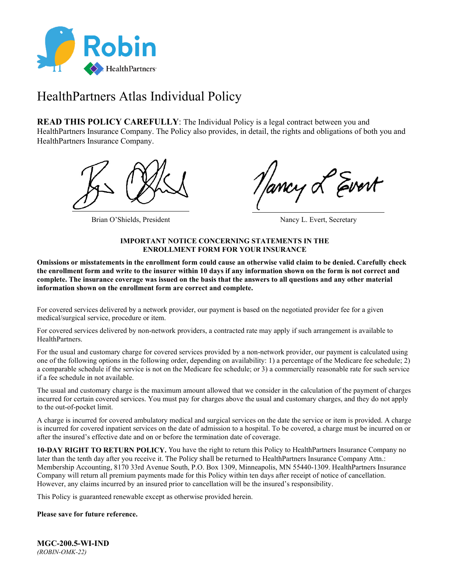

# HealthPartners Atlas Individual Policy

**READ THIS POLICY CAREFULLY:** The Individual Policy is a legal contract between you and HealthPartners Insurance Company. The Policy also provides, in detail, the rights and obligations of both you and HealthPartners Insurance Company.



Brian O'Shields, President Nancy L. Evert, Secretary

### **IMPORTANT NOTICE CONCERNING STATEMENTS IN THE ENROLLMENT FORM FOR YOUR INSURANCE**

**Omissions or misstatements in the enrollment form could cause an otherwise valid claim to be denied. Carefully check the enrollment form and write to the insurer within 10 days if any information shown on the form is not correct and complete. The insurance coverage was issued on the basis that the answers to all questions and any other material information shown on the enrollment form are correct and complete.**

For covered services delivered by a network provider, our payment is based on the negotiated provider fee for a given medical/surgical service, procedure or item.

For covered services delivered by non-network providers, a contracted rate may apply if such arrangement is available to HealthPartners.

For the usual and customary charge for covered services provided by a non-network provider, our payment is calculated using one of the following options in the following order, depending on availability: 1) a percentage of the Medicare fee schedule; 2) a comparable schedule if the service is not on the Medicare fee schedule; or 3) a commercially reasonable rate for such service if a fee schedule in not available.

The usual and customary charge is the maximum amount allowed that we consider in the calculation of the payment of charges incurred for certain covered services. You must pay for charges above the usual and customary charges, and they do not apply to the out-of-pocket limit.

A charge is incurred for covered ambulatory medical and surgical services on the date the service or item is provided. A charge is incurred for covered inpatient services on the date of admission to a hospital. To be covered, a charge must be incurred on or after the insured's effective date and on or before the termination date of coverage.

**10-DAY RIGHT TO RETURN POLICY.** You have the right to return this Policy to HealthPartners Insurance Company no later than the tenth day after you receive it. The Policy shall be returned to HealthPartners Insurance Company Attn.: Membership Accounting, 8170 33rd Avenue South, P.O. Box 1309, Minneapolis, MN 55440-1309. HealthPartners Insurance Company will return all premium payments made for this Policy within ten days after receipt of notice of cancellation. However, any claims incurred by an insured prior to cancellation will be the insured's responsibility.

This Policy is guaranteed renewable except as otherwise provided herein.

### **Please save for future reference.**

**MGC-200.5-WI-IND** *(ROBIN-OMK-22)*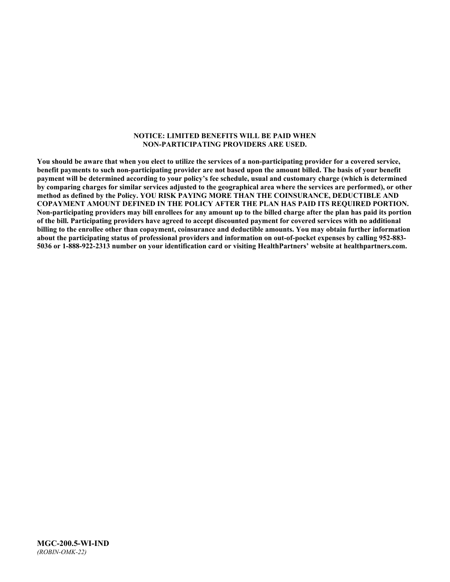#### **NOTICE: LIMITED BENEFITS WILL BE PAID WHEN NON-PARTICIPATING PROVIDERS ARE USED.**

**You should be aware that when you elect to utilize the services of a non-participating provider for a covered service, benefit payments to such non-participating provider are not based upon the amount billed. The basis of your benefit payment will be determined according to your policy's fee schedule, usual and customary charge (which is determined by comparing charges for similar services adjusted to the geographical area where the services are performed), or other method as defined by the Policy. YOU RISK PAYING MORE THAN THE COINSURANCE, DEDUCTIBLE AND COPAYMENT AMOUNT DEFINED IN THE POLICY AFTER THE PLAN HAS PAID ITS REQUIRED PORTION. Non-participating providers may bill enrollees for any amount up to the billed charge after the plan has paid its portion of the bill. Participating providers have agreed to accept discounted payment for covered services with no additional billing to the enrollee other than copayment, coinsurance and deductible amounts. You may obtain further information about the participating status of professional providers and information on out-of-pocket expenses by calling 952-883- 5036 or 1-888-922-2313 number on your identification card or visiting HealthPartners' website at [healthpartners.com.](http://www.healthpartners.com/)**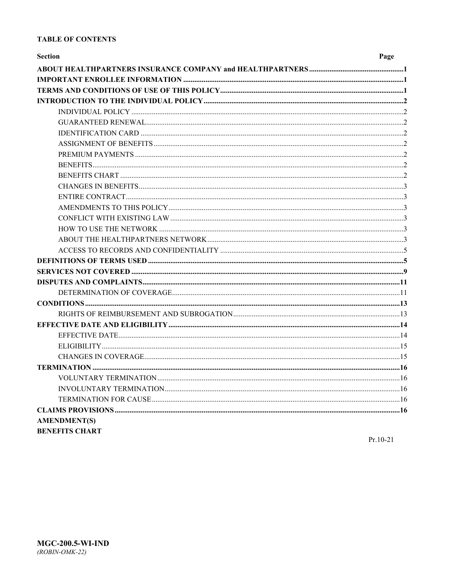### **TABLE OF CONTENTS**

| <b>Section</b>        | Page |
|-----------------------|------|
|                       |      |
|                       |      |
|                       |      |
|                       |      |
|                       |      |
|                       |      |
|                       |      |
|                       |      |
|                       |      |
|                       |      |
|                       |      |
|                       |      |
|                       |      |
|                       |      |
|                       |      |
|                       |      |
|                       |      |
|                       |      |
|                       |      |
|                       |      |
|                       |      |
|                       |      |
|                       |      |
|                       |      |
|                       |      |
|                       |      |
|                       |      |
|                       |      |
|                       |      |
|                       |      |
|                       |      |
|                       |      |
|                       |      |
| <b>AMENDMENT(S)</b>   |      |
| <b>BENEFITS CHART</b> |      |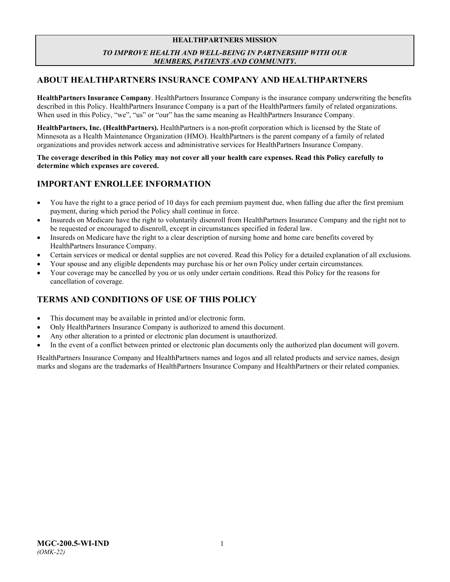### **HEALTHPARTNERS MISSION** *TO IMPROVE HEALTH AND WELL-BEING IN PARTNERSHIP WITH OUR MEMBERS, PATIENTS AND COMMUNITY***.**

# <span id="page-3-0"></span>**ABOUT HEALTHPARTNERS INSURANCE COMPANY AND HEALTHPARTNERS**

**HealthPartners Insurance Company**. HealthPartners Insurance Company is the insurance company underwriting the benefits described in this Policy. HealthPartners Insurance Company is a part of the HealthPartners family of related organizations. When used in this Policy, "we", "us" or "our" has the same meaning as HealthPartners Insurance Company.

**HealthPartners, Inc. (HealthPartners).** HealthPartners is a non-profit corporation which is licensed by the State of Minnesota as a Health Maintenance Organization (HMO). HealthPartners is the parent company of a family of related organizations and provides network access and administrative services for HealthPartners Insurance Company.

**The coverage described in this Policy may not cover all your health care expenses. Read this Policy carefully to determine which expenses are covered.**

# <span id="page-3-1"></span>**IMPORTANT ENROLLEE INFORMATION**

- You have the right to a grace period of 10 days for each premium payment due, when falling due after the first premium payment, during which period the Policy shall continue in force.
- Insureds on Medicare have the right to voluntarily disenroll from HealthPartners Insurance Company and the right not to be requested or encouraged to disenroll, except in circumstances specified in federal law.
- Insureds on Medicare have the right to a clear description of nursing home and home care benefits covered by HealthPartners Insurance Company.
- Certain services or medical or dental supplies are not covered. Read this Policy for a detailed explanation of all exclusions.
- Your spouse and any eligible dependents may purchase his or her own Policy under certain circumstances.
- Your coverage may be cancelled by you or us only under certain conditions. Read this Policy for the reasons for cancellation of coverage.

# <span id="page-3-2"></span>**TERMS AND CONDITIONS OF USE OF THIS POLICY**

- This document may be available in printed and/or electronic form.
- Only HealthPartners Insurance Company is authorized to amend this document.
- Any other alteration to a printed or electronic plan document is unauthorized.
- In the event of a conflict between printed or electronic plan documents only the authorized plan document will govern.

HealthPartners Insurance Company and HealthPartners names and logos and all related products and service names, design marks and slogans are the trademarks of HealthPartners Insurance Company and HealthPartners or their related companies.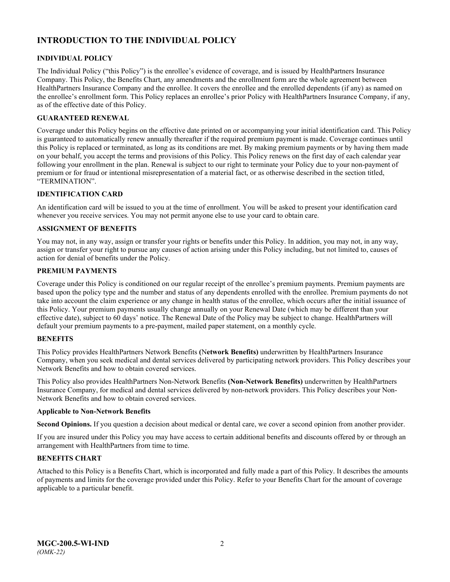# <span id="page-4-0"></span>**INTRODUCTION TO THE INDIVIDUAL POLICY**

### <span id="page-4-1"></span>**INDIVIDUAL POLICY**

The Individual Policy ("this Policy") is the enrollee's evidence of coverage, and is issued by HealthPartners Insurance Company. This Policy, the Benefits Chart, any amendments and the enrollment form are the whole agreement between HealthPartners Insurance Company and the enrollee. It covers the enrollee and the enrolled dependents (if any) as named on the enrollee's enrollment form. This Policy replaces an enrollee's prior Policy with HealthPartners Insurance Company, if any, as of the effective date of this Policy.

### <span id="page-4-2"></span>**GUARANTEED RENEWAL**

Coverage under this Policy begins on the effective date printed on or accompanying your initial identification card. This Policy is guaranteed to automatically renew annually thereafter if the required premium payment is made. Coverage continues until this Policy is replaced or terminated, as long as its conditions are met. By making premium payments or by having them made on your behalf, you accept the terms and provisions of this Policy. This Policy renews on the first day of each calendar year following your enrollment in the plan. Renewal is subject to our right to terminate your Policy due to your non-payment of premium or for fraud or intentional misrepresentation of a material fact, or as otherwise described in the section titled, "TERMINATION".

### <span id="page-4-3"></span>**IDENTIFICATION CARD**

An identification card will be issued to you at the time of enrollment. You will be asked to present your identification card whenever you receive services. You may not permit anyone else to use your card to obtain care.

### <span id="page-4-4"></span>**ASSIGNMENT OF BENEFITS**

You may not, in any way, assign or transfer your rights or benefits under this Policy. In addition, you may not, in any way, assign or transfer your right to pursue any causes of action arising under this Policy including, but not limited to, causes of action for denial of benefits under the Policy.

### <span id="page-4-5"></span>**PREMIUM PAYMENTS**

Coverage under this Policy is conditioned on our regular receipt of the enrollee's premium payments. Premium payments are based upon the policy type and the number and status of any dependents enrolled with the enrollee. Premium payments do not take into account the claim experience or any change in health status of the enrollee, which occurs after the initial issuance of this Policy. Your premium payments usually change annually on your Renewal Date (which may be different than your effective date), subject to 60 days' notice. The Renewal Date of the Policy may be subject to change. HealthPartners will default your premium payments to a pre-payment, mailed paper statement, on a monthly cycle.

### <span id="page-4-6"></span>**BENEFITS**

This Policy provides HealthPartners Network Benefits **(**N**etwork Benefits)** underwritten by HealthPartners Insurance Company, when you seek medical and dental services delivered by participating network providers. This Policy describes your Network Benefits and how to obtain covered services.

This Policy also provides HealthPartners Non-Network Benefits **(Non-Network Benefits)** underwritten by HealthPartners Insurance Company, for medical and dental services delivered by non-network providers. This Policy describes your Non-Network Benefits and how to obtain covered services.

#### **Applicable to Non-Network Benefits**

**Second Opinions.** If you question a decision about medical or dental care, we cover a second opinion from another provider.

If you are insured under this Policy you may have access to certain additional benefits and discounts offered by or through an arrangement with HealthPartners from time to time.

### <span id="page-4-7"></span>**BENEFITS CHART**

Attached to this Policy is a Benefits Chart, which is incorporated and fully made a part of this Policy. It describes the amounts of payments and limits for the coverage provided under this Policy. Refer to your Benefits Chart for the amount of coverage applicable to a particular benefit.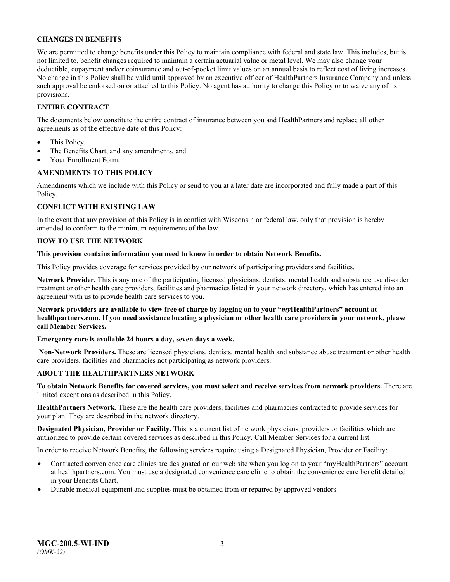### <span id="page-5-0"></span>**CHANGES IN BENEFITS**

We are permitted to change benefits under this Policy to maintain compliance with federal and state law. This includes, but is not limited to, benefit changes required to maintain a certain actuarial value or metal level. We may also change your deductible, copayment and/or coinsurance and out-of-pocket limit values on an annual basis to reflect cost of living increases. No change in this Policy shall be valid until approved by an executive officer of HealthPartners Insurance Company and unless such approval be endorsed on or attached to this Policy. No agent has authority to change this Policy or to waive any of its provisions.

### <span id="page-5-1"></span>**ENTIRE CONTRACT**

The documents below constitute the entire contract of insurance between you and HealthPartners and replace all other agreements as of the effective date of this Policy:

- This Policy,
- The Benefits Chart, and any amendments, and
- Your Enrollment Form.

### <span id="page-5-2"></span>**AMENDMENTS TO THIS POLICY**

Amendments which we include with this Policy or send to you at a later date are incorporated and fully made a part of this Policy.

### <span id="page-5-3"></span>**CONFLICT WITH EXISTING LAW**

In the event that any provision of this Policy is in conflict with Wisconsin or federal law, only that provision is hereby amended to conform to the minimum requirements of the law.

### <span id="page-5-4"></span>**HOW TO USE THE NETWORK**

#### **This provision contains information you need to know in order to obtain Network Benefits.**

This Policy provides coverage for services provided by our network of participating providers and facilities.

**Network Provider.** This is any one of the participating licensed physicians, dentists, mental health and substance use disorder treatment or other health care providers, facilities and pharmacies listed in your network directory, which has entered into an agreement with us to provide health care services to you.

**Network providers are available to view free of charge by logging on to your "***my***HealthPartners" account at [healthpartners.com.](http://www.healthpartners.com/) If you need assistance locating a physician or other health care providers in your network, please call Member Services.**

### **Emergency care is available 24 hours a day, seven days a week.**

**Non-Network Providers.** These are licensed physicians, dentists, mental health and substance abuse treatment or other health care providers, facilities and pharmacies not participating as network providers.

### <span id="page-5-5"></span>**ABOUT THE HEALTHPARTNERS NETWORK**

**To obtain Network Benefits for covered services, you must select and receive services from network providers.** There are limited exceptions as described in this Policy.

**HealthPartners Network.** These are the health care providers, facilities and pharmacies contracted to provide services for your plan. They are described in the network directory.

**Designated Physician, Provider or Facility.** This is a current list of network physicians, providers or facilities which are authorized to provide certain covered services as described in this Policy. Call Member Services for a current list.

In order to receive Network Benefits, the following services require using a Designated Physician, Provider or Facility:

- Contracted convenience care clinics are designated on our web site when you log on to your "myHealthPartners" account at [healthpartners.com.](file://isntmacsrv0/contracts/C&B%20PC%20Filenames/Robin%20PC/STATE%20FILINGS/2020/WI%20IND%202020/6-14-2019%20initial%20submission/Word/MGC-200.2-WI-IND-19.docx) You must use a designated convenience care clinic to obtain the convenience care benefit detailed in your Benefits Chart.
- Durable medical equipment and supplies must be obtained from or repaired by approved vendors.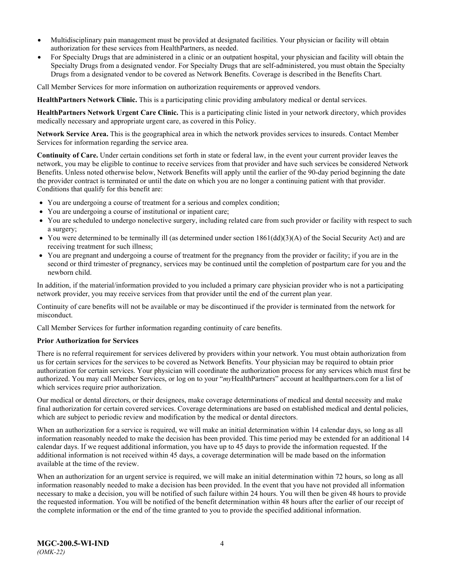- Multidisciplinary pain management must be provided at designated facilities. Your physician or facility will obtain authorization for these services from HealthPartners, as needed.
- For Specialty Drugs that are administered in a clinic or an outpatient hospital, your physician and facility will obtain the Specialty Drugs from a designated vendor. For Specialty Drugs that are self-administered, you must obtain the Specialty Drugs from a designated vendor to be covered as Network Benefits. Coverage is described in the Benefits Chart.

Call Member Services for more information on authorization requirements or approved vendors.

**HealthPartners Network Clinic.** This is a participating clinic providing ambulatory medical or dental services.

**HealthPartners Network Urgent Care Clinic.** This is a participating clinic listed in your network directory, which provides medically necessary and appropriate urgent care, as covered in this Policy.

**Network Service Area.** This is the geographical area in which the network provides services to insureds. Contact Member Services for information regarding the service area.

**Continuity of Care.** Under certain conditions set forth in state or federal law, in the event your current provider leaves the network, you may be eligible to continue to receive services from that provider and have such services be considered Network Benefits. Unless noted otherwise below, Network Benefits will apply until the earlier of the 90-day period beginning the date the provider contract is terminated or until the date on which you are no longer a continuing patient with that provider. Conditions that qualify for this benefit are:

- You are undergoing a course of treatment for a serious and complex condition;
- You are undergoing a course of institutional or inpatient care;
- You are scheduled to undergo nonelective surgery, including related care from such provider or facility with respect to such a surgery;
- You were determined to be terminally ill (as determined under section  $1861(dd)(3)(A)$  of the Social Security Act) and are receiving treatment for such illness;
- You are pregnant and undergoing a course of treatment for the pregnancy from the provider or facility; if you are in the second or third trimester of pregnancy, services may be continued until the completion of postpartum care for you and the newborn child.

In addition, if the material/information provided to you included a primary care physician provider who is not a participating network provider, you may receive services from that provider until the end of the current plan year.

Continuity of care benefits will not be available or may be discontinued if the provider is terminated from the network for misconduct.

Call Member Services for further information regarding continuity of care benefits.

#### **Prior Authorization for Services**

There is no referral requirement for services delivered by providers within your network. You must obtain authorization from us for certain services for the services to be covered as Network Benefits. Your physician may be required to obtain prior authorization for certain services. Your physician will coordinate the authorization process for any services which must first be authorized. You may call Member Services, or log on to your "*my*HealthPartners" account at [healthpartners.com](http://www.healthpartners.com/) for a list of which services require prior authorization.

Our medical or dental directors, or their designees, make coverage determinations of medical and dental necessity and make final authorization for certain covered services. Coverage determinations are based on established medical and dental policies, which are subject to periodic review and modification by the medical or dental directors.

When an authorization for a service is required, we will make an initial determination within 14 calendar days, so long as all information reasonably needed to make the decision has been provided. This time period may be extended for an additional 14 calendar days. If we request additional information, you have up to 45 days to provide the information requested. If the additional information is not received within 45 days, a coverage determination will be made based on the information available at the time of the review.

When an authorization for an urgent service is required, we will make an initial determination within 72 hours, so long as all information reasonably needed to make a decision has been provided. In the event that you have not provided all information necessary to make a decision, you will be notified of such failure within 24 hours. You will then be given 48 hours to provide the requested information. You will be notified of the benefit determination within 48 hours after the earlier of our receipt of the complete information or the end of the time granted to you to provide the specified additional information.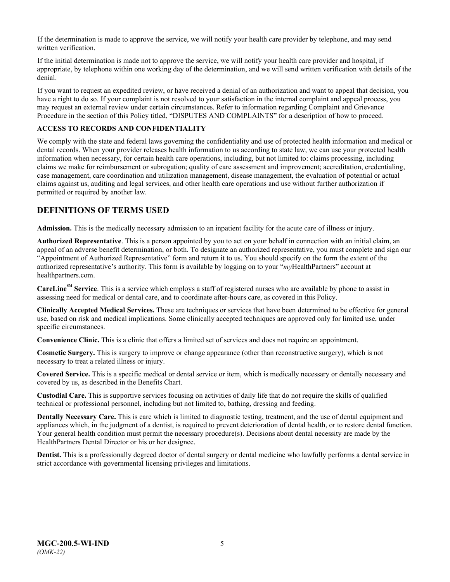If the determination is made to approve the service, we will notify your health care provider by telephone, and may send written verification.

If the initial determination is made not to approve the service, we will notify your health care provider and hospital, if appropriate, by telephone within one working day of the determination, and we will send written verification with details of the denial.

If you want to request an expedited review, or have received a denial of an authorization and want to appeal that decision, you have a right to do so. If your complaint is not resolved to your satisfaction in the internal complaint and appeal process, you may request an external review under certain circumstances. Refer to information regarding Complaint and Grievance Procedure in the section of this Policy titled, "DISPUTES AND COMPLAINTS" for a description of how to proceed.

### <span id="page-7-0"></span>**ACCESS TO RECORDS AND CONFIDENTIALITY**

We comply with the state and federal laws governing the confidentiality and use of protected health information and medical or dental records. When your provider releases health information to us according to state law, we can use your protected health information when necessary, for certain health care operations, including, but not limited to: claims processing, including claims we make for reimbursement or subrogation; quality of care assessment and improvement; accreditation, credentialing, case management, care coordination and utilization management, disease management, the evaluation of potential or actual claims against us, auditing and legal services, and other health care operations and use without further authorization if permitted or required by another law.

### <span id="page-7-1"></span>**DEFINITIONS OF TERMS USED**

**Admission.** This is the medically necessary admission to an inpatient facility for the acute care of illness or injury.

**Authorized Representative**. This is a person appointed by you to act on your behalf in connection with an initial claim, an appeal of an adverse benefit determination, or both. To designate an authorized representative, you must complete and sign our "Appointment of Authorized Representative" form and return it to us. You should specify on the form the extent of the authorized representative's authority. This form is available by logging on to your "*my*HealthPartners" account at [healthpartners.com.](http://www.healthpartners.com/)

**CareLineSM Service**. This is a service which employs a staff of registered nurses who are available by phone to assist in assessing need for medical or dental care, and to coordinate after-hours care, as covered in this Policy.

**Clinically Accepted Medical Services.** These are techniques or services that have been determined to be effective for general use, based on risk and medical implications. Some clinically accepted techniques are approved only for limited use, under specific circumstances.

**Convenience Clinic.** This is a clinic that offers a limited set of services and does not require an appointment.

**Cosmetic Surgery.** This is surgery to improve or change appearance (other than reconstructive surgery), which is not necessary to treat a related illness or injury.

**Covered Service.** This is a specific medical or dental service or item, which is medically necessary or dentally necessary and covered by us, as described in the Benefits Chart.

**Custodial Care.** This is supportive services focusing on activities of daily life that do not require the skills of qualified technical or professional personnel, including but not limited to, bathing, dressing and feeding.

**Dentally Necessary Care.** This is care which is limited to diagnostic testing, treatment, and the use of dental equipment and appliances which, in the judgment of a dentist, is required to prevent deterioration of dental health, or to restore dental function. Your general health condition must permit the necessary procedure(s). Decisions about dental necessity are made by the HealthPartners Dental Director or his or her designee.

**Dentist.** This is a professionally degreed doctor of dental surgery or dental medicine who lawfully performs a dental service in strict accordance with governmental licensing privileges and limitations.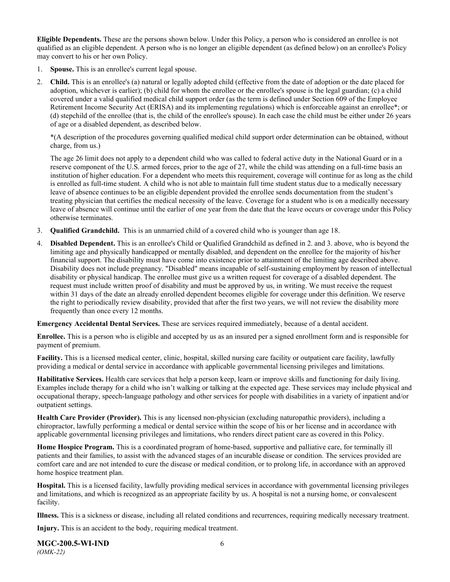**Eligible Dependents.** These are the persons shown below. Under this Policy, a person who is considered an enrollee is not qualified as an eligible dependent. A person who is no longer an eligible dependent (as defined below) on an enrollee's Policy may convert to his or her own Policy.

- 1. **Spouse.** This is an enrollee's current legal spouse.
- 2. **Child.** This is an enrollee's (a) natural or legally adopted child (effective from the date of adoption or the date placed for adoption, whichever is earlier); (b) child for whom the enrollee or the enrollee's spouse is the legal guardian; (c) a child covered under a valid qualified medical child support order (as the term is defined under Section 609 of the Employee Retirement Income Security Act (ERISA) and its implementing regulations) which is enforceable against an enrollee\*; or (d) stepchild of the enrollee (that is, the child of the enrollee's spouse). In each case the child must be either under 26 years of age or a disabled dependent, as described below.

\*(A description of the procedures governing qualified medical child support order determination can be obtained, without charge, from us.)

The age 26 limit does not apply to a dependent child who was called to federal active duty in the National Guard or in a reserve component of the U.S. armed forces, prior to the age of 27, while the child was attending on a full-time basis an institution of higher education. For a dependent who meets this requirement, coverage will continue for as long as the child is enrolled as full-time student. A child who is not able to maintain full time student status due to a medically necessary leave of absence continues to be an eligible dependent provided the enrollee sends documentation from the student's treating physician that certifies the medical necessity of the leave. Coverage for a student who is on a medically necessary leave of absence will continue until the earlier of one year from the date that the leave occurs or coverage under this Policy otherwise terminates.

- 3. **Qualified Grandchild.** This is an unmarried child of a covered child who is younger than age 18.
- 4. **Disabled Dependent.** This is an enrollee's Child or Qualified Grandchild as defined in 2. and 3. above, who is beyond the limiting age and physically handicapped or mentally disabled, and dependent on the enrollee for the majority of his/her financial support. The disability must have come into existence prior to attainment of the limiting age described above. Disability does not include pregnancy. "Disabled" means incapable of self-sustaining employment by reason of intellectual disability or physical handicap. The enrollee must give us a written request for coverage of a disabled dependent. The request must include written proof of disability and must be approved by us, in writing. We must receive the request within 31 days of the date an already enrolled dependent becomes eligible for coverage under this definition. We reserve the right to periodically review disability, provided that after the first two years, we will not review the disability more frequently than once every 12 months.

**Emergency Accidental Dental Services.** These are services required immediately, because of a dental accident.

**Enrollee.** This is a person who is eligible and accepted by us as an insured per a signed enrollment form and is responsible for payment of premium.

**Facility.** This is a licensed medical center, clinic, hospital, skilled nursing care facility or outpatient care facility, lawfully providing a medical or dental service in accordance with applicable governmental licensing privileges and limitations.

**Habilitative Services.** Health care services that help a person keep, learn or improve skills and functioning for daily living. Examples include therapy for a child who isn't walking or talking at the expected age. These services may include physical and occupational therapy, speech-language pathology and other services for people with disabilities in a variety of inpatient and/or outpatient settings.

**Health Care Provider (Provider).** This is any licensed non-physician (excluding naturopathic providers), including a chiropractor, lawfully performing a medical or dental service within the scope of his or her license and in accordance with applicable governmental licensing privileges and limitations, who renders direct patient care as covered in this Policy.

**Home Hospice Program.** This is a coordinated program of home-based, supportive and palliative care, for terminally ill patients and their families, to assist with the advanced stages of an incurable disease or condition. The services provided are comfort care and are not intended to cure the disease or medical condition, or to prolong life, in accordance with an approved home hospice treatment plan.

**Hospital.** This is a licensed facility, lawfully providing medical services in accordance with governmental licensing privileges and limitations, and which is recognized as an appropriate facility by us. A hospital is not a nursing home, or convalescent facility.

**Illness.** This is a sickness or disease, including all related conditions and recurrences, requiring medically necessary treatment.

**Injury.** This is an accident to the body, requiring medical treatment.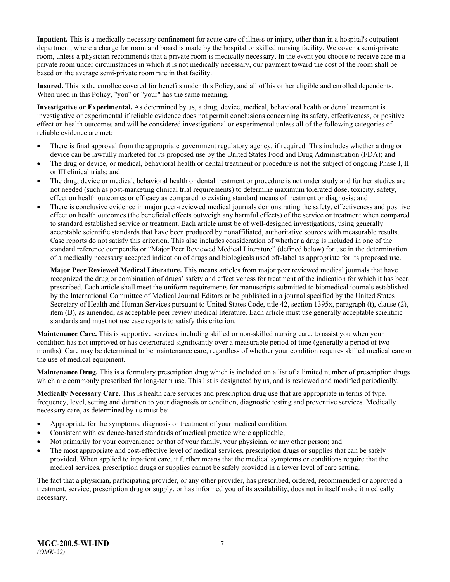**Inpatient.** This is a medically necessary confinement for acute care of illness or injury, other than in a hospital's outpatient department, where a charge for room and board is made by the hospital or skilled nursing facility. We cover a semi-private room, unless a physician recommends that a private room is medically necessary. In the event you choose to receive care in a private room under circumstances in which it is not medically necessary, our payment toward the cost of the room shall be based on the average semi-private room rate in that facility.

**Insured.** This is the enrollee covered for benefits under this Policy, and all of his or her eligible and enrolled dependents. When used in this Policy, "you" or "your" has the same meaning.

**Investigative or Experimental.** As determined by us, a drug, device, medical, behavioral health or dental treatment is investigative or experimental if reliable evidence does not permit conclusions concerning its safety, effectiveness, or positive effect on health outcomes and will be considered investigational or experimental unless all of the following categories of reliable evidence are met:

- There is final approval from the appropriate government regulatory agency, if required. This includes whether a drug or device can be lawfully marketed for its proposed use by the United States Food and Drug Administration (FDA); and
- The drug or device, or medical, behavioral health or dental treatment or procedure is not the subject of ongoing Phase I, II or III clinical trials; and
- The drug, device or medical, behavioral health or dental treatment or procedure is not under study and further studies are not needed (such as post-marketing clinical trial requirements) to determine maximum tolerated dose, toxicity, safety, effect on health outcomes or efficacy as compared to existing standard means of treatment or diagnosis; and
- There is conclusive evidence in major peer-reviewed medical journals demonstrating the safety, effectiveness and positive effect on health outcomes (the beneficial effects outweigh any harmful effects) of the service or treatment when compared to standard established service or treatment. Each article must be of well-designed investigations, using generally acceptable scientific standards that have been produced by nonaffiliated, authoritative sources with measurable results. Case reports do not satisfy this criterion. This also includes consideration of whether a drug is included in one of the standard reference compendia or "Major Peer Reviewed Medical Literature" (defined below) for use in the determination of a medically necessary accepted indication of drugs and biologicals used off-label as appropriate for its proposed use.

**Major Peer Reviewed Medical Literature.** This means articles from major peer reviewed medical journals that have recognized the drug or combination of drugs' safety and effectiveness for treatment of the indication for which it has been prescribed. Each article shall meet the uniform requirements for manuscripts submitted to biomedical journals established by the International Committee of Medical Journal Editors or be published in a journal specified by the United States Secretary of Health and Human Services pursuant to United States Code, title 42, section 1395x, paragraph (t), clause (2), item (B), as amended, as acceptable peer review medical literature. Each article must use generally acceptable scientific standards and must not use case reports to satisfy this criterion.

**Maintenance Care.** This is supportive services, including skilled or non-skilled nursing care, to assist you when your condition has not improved or has deteriorated significantly over a measurable period of time (generally a period of two months). Care may be determined to be maintenance care, regardless of whether your condition requires skilled medical care or the use of medical equipment.

**Maintenance Drug.** This is a formulary prescription drug which is included on a list of a limited number of prescription drugs which are commonly prescribed for long-term use. This list is designated by us, and is reviewed and modified periodically.

**Medically Necessary Care.** This is health care services and prescription drug use that are appropriate in terms of type, frequency, level, setting and duration to your diagnosis or condition, diagnostic testing and preventive services. Medically necessary care, as determined by us must be:

- Appropriate for the symptoms, diagnosis or treatment of your medical condition;
- Consistent with evidence-based standards of medical practice where applicable;
- Not primarily for your convenience or that of your family, your physician, or any other person; and
- The most appropriate and cost-effective level of medical services, prescription drugs or supplies that can be safely provided. When applied to inpatient care, it further means that the medical symptoms or conditions require that the medical services, prescription drugs or supplies cannot be safely provided in a lower level of care setting.

The fact that a physician, participating provider, or any other provider, has prescribed, ordered, recommended or approved a treatment, service, prescription drug or supply, or has informed you of its availability, does not in itself make it medically necessary.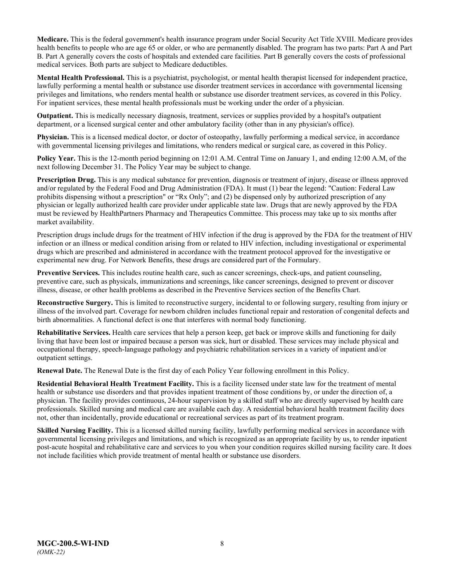**Medicare.** This is the federal government's health insurance program under Social Security Act Title XVIII. Medicare provides health benefits to people who are age 65 or older, or who are permanently disabled. The program has two parts: Part A and Part B. Part A generally covers the costs of hospitals and extended care facilities. Part B generally covers the costs of professional medical services. Both parts are subject to Medicare deductibles.

**Mental Health Professional.** This is a psychiatrist, psychologist, or mental health therapist licensed for independent practice, lawfully performing a mental health or substance use disorder treatment services in accordance with governmental licensing privileges and limitations, who renders mental health or substance use disorder treatment services, as covered in this Policy. For inpatient services, these mental health professionals must be working under the order of a physician.

**Outpatient.** This is medically necessary diagnosis, treatment, services or supplies provided by a hospital's outpatient department, or a licensed surgical center and other ambulatory facility (other than in any physician's office).

**Physician.** This is a licensed medical doctor, or doctor of osteopathy, lawfully performing a medical service, in accordance with governmental licensing privileges and limitations, who renders medical or surgical care, as covered in this Policy.

**Policy Year.** This is the 12-month period beginning on 12:01 A.M. Central Time on January 1, and ending 12:00 A.M, of the next following December 31. The Policy Year may be subject to change.

**Prescription Drug.** This is any medical substance for prevention, diagnosis or treatment of injury, disease or illness approved and/or regulated by the Federal Food and Drug Administration (FDA). It must (1) bear the legend: "Caution: Federal Law prohibits dispensing without a prescription" or "Rx Only"; and (2) be dispensed only by authorized prescription of any physician or legally authorized health care provider under applicable state law. Drugs that are newly approved by the FDA must be reviewed by HealthPartners Pharmacy and Therapeutics Committee. This process may take up to six months after market availability.

Prescription drugs include drugs for the treatment of HIV infection if the drug is approved by the FDA for the treatment of HIV infection or an illness or medical condition arising from or related to HIV infection, including investigational or experimental drugs which are prescribed and administered in accordance with the treatment protocol approved for the investigative or experimental new drug. For Network Benefits, these drugs are considered part of the Formulary.

**[Preventive Services.](http://obamacarefacts.com/obamacare-preventive-care/)** This includes routine health care, such as cancer screenings, check-ups, and patient counseling, preventive care, such as physicals, immunizations and screenings, like cancer screenings, designed to prevent or discover illness, disease, or other health problems as described in the Preventive Services section of the Benefits Chart.

**Reconstructive Surgery.** This is limited to reconstructive surgery, incidental to or following surgery, resulting from injury or illness of the involved part. Coverage for newborn children includes functional repair and restoration of congenital defects and birth abnormalities. A functional defect is one that interferes with normal body functioning.

**Rehabilitative Services.** Health care services that help a person keep, get back or improve skills and functioning for daily living that have been lost or impaired because a person was sick, hurt or disabled. These services may include physical and occupational therapy, speech-language pathology and psychiatric rehabilitation services in a variety of inpatient and/or outpatient settings.

**Renewal Date.** The Renewal Date is the first day of each Policy Year following enrollment in this Policy.

**Residential Behavioral Health Treatment Facility.** This is a facility licensed under state law for the treatment of mental health or substance use disorders and that provides inpatient treatment of those conditions by, or under the direction of, a physician. The facility provides continuous, 24-hour supervision by a skilled staff who are directly supervised by health care professionals. Skilled nursing and medical care are available each day. A residential behavioral health treatment facility does not, other than incidentally, provide educational or recreational services as part of its treatment program.

**Skilled Nursing Facility.** This is a licensed skilled nursing facility, lawfully performing medical services in accordance with governmental licensing privileges and limitations, and which is recognized as an appropriate facility by us, to render inpatient post-acute hospital and rehabilitative care and services to you when your condition requires skilled nursing facility care. It does not include facilities which provide treatment of mental health or substance use disorders.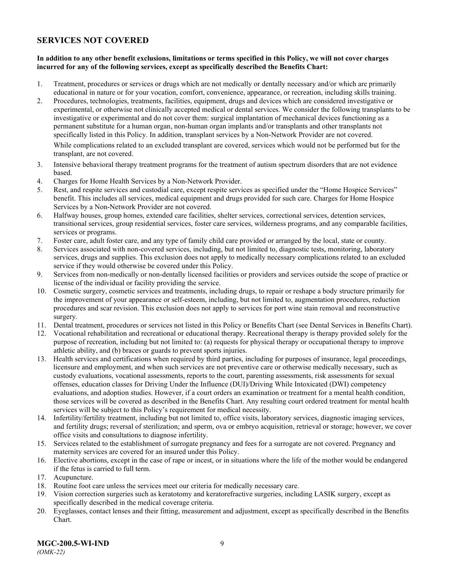### <span id="page-11-0"></span>**SERVICES NOT COVERED**

### **In addition to any other benefit exclusions, limitations or terms specified in this Policy, we will not cover charges incurred for any of the following services, except as specifically described the Benefits Chart:**

- 1. Treatment, procedures or services or drugs which are not medically or dentally necessary and/or which are primarily educational in nature or for your vocation, comfort, convenience, appearance, or recreation, including skills training.
- 2. Procedures, technologies, treatments, facilities, equipment, drugs and devices which are considered investigative or experimental, or otherwise not clinically accepted medical or dental services. We consider the following transplants to be investigative or experimental and do not cover them: surgical implantation of mechanical devices functioning as a permanent substitute for a human organ, non-human organ implants and/or transplants and other transplants not specifically listed in this Policy. In addition, transplant services by a Non-Network Provider are not covered. While complications related to an excluded transplant are covered, services which would not be performed but for the

transplant, are not covered.

- 3. Intensive behavioral therapy treatment programs for the treatment of autism spectrum disorders that are not evidence based.
- 4. Charges for Home Health Services by a Non-Network Provider.
- 5. Rest, and respite services and custodial care, except respite services as specified under the "Home Hospice Services" benefit. This includes all services, medical equipment and drugs provided for such care. Charges for Home Hospice Services by a Non-Network Provider are not covered.
- 6. Halfway houses, group homes, extended care facilities, shelter services, correctional services, detention services, transitional services, group residential services, foster care services, wilderness programs, and any comparable facilities, services or programs.
- 7. Foster care, adult foster care, and any type of family child care provided or arranged by the local, state or county.
- 8. Services associated with non-covered services, including, but not limited to, diagnostic tests, monitoring, laboratory services, drugs and supplies. This exclusion does not apply to medically necessary complications related to an excluded service if they would otherwise be covered under this Policy.
- 9. Services from non-medically or non-dentally licensed facilities or providers and services outside the scope of practice or license of the individual or facility providing the service.
- 10. Cosmetic surgery, cosmetic services and treatments, including drugs, to repair or reshape a body structure primarily for the improvement of your appearance or self-esteem, including, but not limited to, augmentation procedures, reduction procedures and scar revision. This exclusion does not apply to services for port wine stain removal and reconstructive surgery.
- 11. Dental treatment, procedures or services not listed in this Policy or Benefits Chart (see Dental Services in Benefits Chart).
- 12. Vocational rehabilitation and recreational or educational therapy. Recreational therapy is therapy provided solely for the purpose of recreation, including but not limited to: (a) requests for physical therapy or occupational therapy to improve athletic ability, and (b) braces or guards to prevent sports injuries.
- 13. Health services and certifications when required by third parties, including for purposes of insurance, legal proceedings, licensure and employment, and when such services are not preventive care or otherwise medically necessary, such as custody evaluations, vocational assessments, reports to the court, parenting assessments, risk assessments for sexual offenses, education classes for Driving Under the Influence (DUI)/Driving While Intoxicated (DWI) competency evaluations, and adoption studies. However, if a court orders an examination or treatment for a mental health condition, those services will be covered as described in the Benefits Chart. Any resulting court ordered treatment for mental health services will be subject to this Policy's requirement for medical necessity.
- 14. Infertility/fertility treatment, including but not limited to, office visits, laboratory services, diagnostic imaging services, and fertility drugs; reversal of sterilization; and sperm, ova or embryo acquisition, retrieval or storage; however, we cover office visits and consultations to diagnose infertility.
- 15. Services related to the establishment of surrogate pregnancy and fees for a surrogate are not covered. Pregnancy and maternity services are covered for an insured under this Policy.
- 16. Elective abortions, except in the case of rape or incest, or in situations where the life of the mother would be endangered if the fetus is carried to full term.
- 17. Acupuncture.
- 18. Routine foot care unless the services meet our criteria for medically necessary care.
- 19. Vision correction surgeries such as keratotomy and keratorefractive surgeries, including LASIK surgery, except as specifically described in the medical coverage criteria.
- 20. Eyeglasses, contact lenses and their fitting, measurement and adjustment, except as specifically described in the Benefits Chart.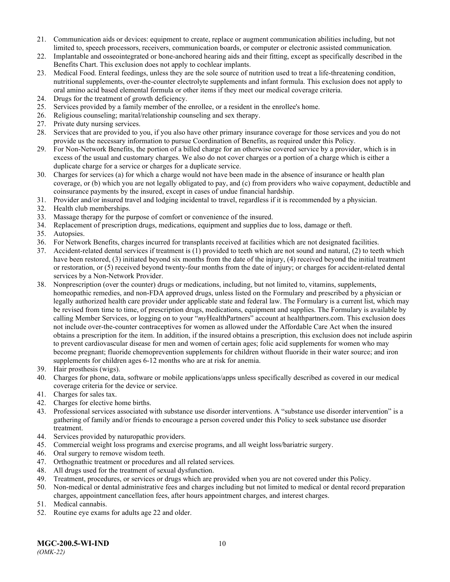- 21. Communication aids or devices: equipment to create, replace or augment communication abilities including, but not limited to, speech processors, receivers, communication boards, or computer or electronic assisted communication.
- 22. Implantable and osseointegrated or bone-anchored hearing aids and their fitting, except as specifically described in the Benefits Chart. This exclusion does not apply to cochlear implants.
- 23. Medical Food. Enteral feedings, unless they are the sole source of nutrition used to treat a life-threatening condition, nutritional supplements, over-the-counter electrolyte supplements and infant formula. This exclusion does not apply to oral amino acid based elemental formula or other items if they meet our medical coverage criteria.
- 24. Drugs for the treatment of growth deficiency.
- 25. Services provided by a family member of the enrollee, or a resident in the enrollee's home.
- 26. Religious counseling; marital/relationship counseling and sex therapy.
- 27. Private duty nursing services.
- 28. Services that are provided to you, if you also have other primary insurance coverage for those services and you do not provide us the necessary information to pursue Coordination of Benefits, as required under this Policy.
- 29. For Non-Network Benefits, the portion of a billed charge for an otherwise covered service by a provider, which is in excess of the usual and customary charges. We also do not cover charges or a portion of a charge which is either a duplicate charge for a service or charges for a duplicate service.
- 30. Charges for services (a) for which a charge would not have been made in the absence of insurance or health plan coverage, or (b) which you are not legally obligated to pay, and (c) from providers who waive copayment, deductible and coinsurance payments by the insured, except in cases of undue financial hardship.
- 31. Provider and/or insured travel and lodging incidental to travel, regardless if it is recommended by a physician.
- 32. Health club memberships.
- 33. Massage therapy for the purpose of comfort or convenience of the insured.
- 34. Replacement of prescription drugs, medications, equipment and supplies due to loss, damage or theft.
- 35. Autopsies.
- 36. For Network Benefits, charges incurred for transplants received at facilities which are not designated facilities.
- 37. Accident-related dental services if treatment is (1) provided to teeth which are not sound and natural, (2) to teeth which have been restored, (3) initiated beyond six months from the date of the injury, (4) received beyond the initial treatment or restoration, or (5) received beyond twenty-four months from the date of injury; or charges for accident-related dental services by a Non-Network Provider.
- 38. Nonprescription (over the counter) drugs or medications, including, but not limited to, vitamins, supplements, homeopathic remedies, and non-FDA approved drugs, unless listed on the Formulary and prescribed by a physician or legally authorized health care provider under applicable state and federal law. The Formulary is a current list, which may be revised from time to time, of prescription drugs, medications, equipment and supplies. The Formulary is available by calling Member Services, or logging on to your "*my*HealthPartners" account at [healthpartners.com.](http://www.healthpartners.com/) This exclusion does not include over-the-counter contraceptives for women as allowed under the Affordable Care Act when the insured obtains a prescription for the item. In addition, if the insured obtains a prescription, this exclusion does not include aspirin to prevent cardiovascular disease for men and women of certain ages; folic acid supplements for women who may become pregnant; fluoride chemoprevention supplements for children without fluoride in their water source; and iron supplements for children ages 6-12 months who are at risk for anemia.
- 39. Hair prosthesis (wigs).
- 40. Charges for phone, data, software or mobile applications/apps unless specifically described as covered in our medical coverage criteria for the device or service.
- 41. Charges for sales tax.
- 42. Charges for elective home births.
- 43. Professional services associated with substance use disorder interventions. A "substance use disorder intervention" is a gathering of family and/or friends to encourage a person covered under this Policy to seek substance use disorder treatment.
- 44. Services provided by naturopathic providers.
- 45. Commercial weight loss programs and exercise programs, and all weight loss/bariatric surgery.
- 46. Oral surgery to remove wisdom teeth.
- 47. Orthognathic treatment or procedures and all related services.
- 48. All drugs used for the treatment of sexual dysfunction.
- 49. Treatment, procedures, or services or drugs which are provided when you are not covered under this Policy.
- 50. Non-medical or dental administrative fees and charges including but not limited to medical or dental record preparation charges, appointment cancellation fees, after hours appointment charges, and interest charges.
- 51. Medical cannabis.
- 52. Routine eye exams for adults age 22 and older.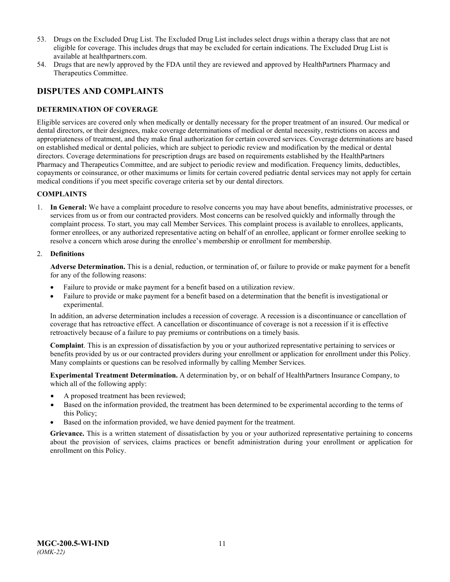- 53. Drugs on the Excluded Drug List. The Excluded Drug List includes select drugs within a therapy class that are not eligible for coverage. This includes drugs that may be excluded for certain indications. The Excluded Drug List is available at healthpartners.com.
- 54. Drugs that are newly approved by the FDA until they are reviewed and approved by HealthPartners Pharmacy and Therapeutics Committee.

### <span id="page-13-0"></span>**DISPUTES AND COMPLAINTS**

### <span id="page-13-1"></span>**DETERMINATION OF COVERAGE**

Eligible services are covered only when medically or dentally necessary for the proper treatment of an insured. Our medical or dental directors, or their designees, make coverage determinations of medical or dental necessity, restrictions on access and appropriateness of treatment, and they make final authorization for certain covered services. Coverage determinations are based on established medical or dental policies, which are subject to periodic review and modification by the medical or dental directors. Coverage determinations for prescription drugs are based on requirements established by the HealthPartners Pharmacy and Therapeutics Committee, and are subject to periodic review and modification. Frequency limits, deductibles, copayments or coinsurance, or other maximums or limits for certain covered pediatric dental services may not apply for certain medical conditions if you meet specific coverage criteria set by our dental directors.

### **COMPLAINTS**

1. **In General:** We have a complaint procedure to resolve concerns you may have about benefits, administrative processes, or services from us or from our contracted providers. Most concerns can be resolved quickly and informally through the complaint process. To start, you may call Member Services. This complaint process is available to enrollees, applicants, former enrollees, or any authorized representative acting on behalf of an enrollee, applicant or former enrollee seeking to resolve a concern which arose during the enrollee's membership or enrollment for membership.

#### 2. **Definitions**

**Adverse Determination.** This is a denial, reduction, or termination of, or failure to provide or make payment for a benefit for any of the following reasons:

- Failure to provide or make payment for a benefit based on a utilization review.
- Failure to provide or make payment for a benefit based on a determination that the benefit is investigational or experimental.

In addition, an adverse determination includes a recession of coverage. A recession is a discontinuance or cancellation of coverage that has retroactive effect. A cancellation or discontinuance of coverage is not a recession if it is effective retroactively because of a failure to pay premiums or contributions on a timely basis.

**Complaint**. This is an expression of dissatisfaction by you or your authorized representative pertaining to services or benefits provided by us or our contracted providers during your enrollment or application for enrollment under this Policy. Many complaints or questions can be resolved informally by calling Member Services.

**Experimental Treatment Determination.** A determination by, or on behalf of HealthPartners Insurance Company, to which all of the following apply:

- A proposed treatment has been reviewed;
- Based on the information provided, the treatment has been determined to be experimental according to the terms of this Policy;
- Based on the information provided, we have denied payment for the treatment.

**Grievance.** This is a written statement of dissatisfaction by you or your authorized representative pertaining to concerns about the provision of services, claims practices or benefit administration during your enrollment or application for enrollment on this Policy.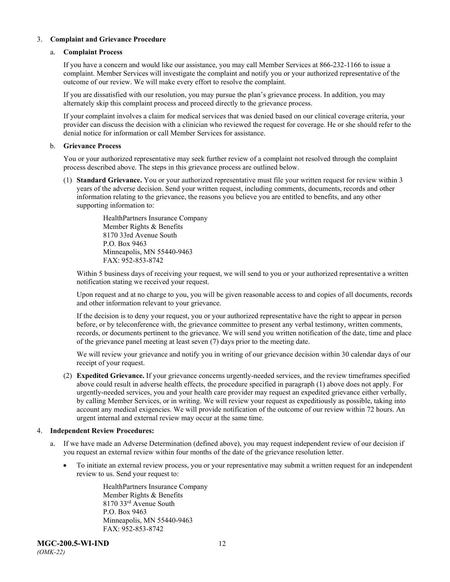### 3. **Complaint and Grievance Procedure**

#### a. **Complaint Process**

If you have a concern and would like our assistance, you may call Member Services at 866-232-1166 to issue a complaint. Member Services will investigate the complaint and notify you or your authorized representative of the outcome of our review. We will make every effort to resolve the complaint.

If you are dissatisfied with our resolution, you may pursue the plan's grievance process. In addition, you may alternately skip this complaint process and proceed directly to the grievance process.

If your complaint involves a claim for medical services that was denied based on our clinical coverage criteria, your provider can discuss the decision with a clinician who reviewed the request for coverage. He or she should refer to the denial notice for information or call Member Services for assistance.

#### b. **Grievance Process**

You or your authorized representative may seek further review of a complaint not resolved through the complaint process described above. The steps in this grievance process are outlined below.

(1) **Standard Grievance.** You or your authorized representative must file your written request for review within 3 years of the adverse decision. Send your written request, including comments, documents, records and other information relating to the grievance, the reasons you believe you are entitled to benefits, and any other supporting information to:

> HealthPartners Insurance Company Member Rights & Benefits 8170 33rd Avenue South P.O. Box 9463 Minneapolis, MN 55440-9463 FAX: 952-853-8742

Within 5 business days of receiving your request, we will send to you or your authorized representative a written notification stating we received your request.

Upon request and at no charge to you, you will be given reasonable access to and copies of all documents, records and other information relevant to your grievance.

If the decision is to deny your request, you or your authorized representative have the right to appear in person before, or by teleconference with, the grievance committee to present any verbal testimony, written comments, records, or documents pertinent to the grievance. We will send you written notification of the date, time and place of the grievance panel meeting at least seven (7) days prior to the meeting date.

We will review your grievance and notify you in writing of our grievance decision within 30 calendar days of our receipt of your request.

(2) **Expedited Grievance.** If your grievance concerns urgently-needed services, and the review timeframes specified above could result in adverse health effects, the procedure specified in paragraph (1) above does not apply. For urgently-needed services, you and your health care provider may request an expedited grievance either verbally, by calling Member Services, or in writing. We will review your request as expeditiously as possible, taking into account any medical exigencies. We will provide notification of the outcome of our review within 72 hours. An urgent internal and external review may occur at the same time.

### 4. **Independent Review Procedures:**

- a. If we have made an Adverse Determination (defined above), you may request independent review of our decision if you request an external review within four months of the date of the grievance resolution letter.
	- To initiate an external review process, you or your representative may submit a written request for an independent review to us. Send your request to:

HealthPartners Insurance Company Member Rights & Benefits 8170 33rd Avenue South P.O. Box 9463 Minneapolis, MN 55440-9463 FAX: 952-853-8742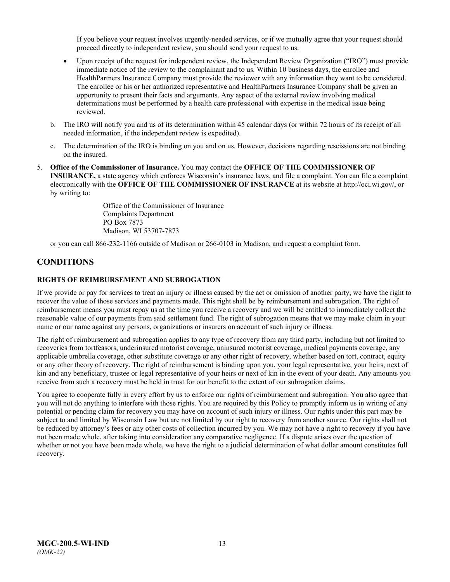If you believe your request involves urgently-needed services, or if we mutually agree that your request should proceed directly to independent review, you should send your request to us.

- Upon receipt of the request for independent review, the Independent Review Organization ("IRO") must provide immediate notice of the review to the complainant and to us. Within 10 business days, the enrollee and HealthPartners Insurance Company must provide the reviewer with any information they want to be considered. The enrollee or his or her authorized representative and HealthPartners Insurance Company shall be given an opportunity to present their facts and arguments. Any aspect of the external review involving medical determinations must be performed by a health care professional with expertise in the medical issue being reviewed.
- b. The IRO will notify you and us of its determination within 45 calendar days (or within 72 hours of its receipt of all needed information, if the independent review is expedited).
- c. The determination of the IRO is binding on you and on us. However, decisions regarding rescissions are not binding on the insured.
- 5. **Office of the Commissioner of Insurance.** You may contact the **OFFICE OF THE COMMISSIONER OF INSURANCE,** a state agency which enforces Wisconsin's insurance laws, and file a complaint. You can file a complaint electronically with the **OFFICE OF THE COMMISSIONER OF INSURANCE** at its website at http://oci.wi.gov/, or by writing to:

Office of the Commissioner of Insurance Complaints Department PO Box 7873 Madison, WI 53707-7873

or you can call 866-232-1166 outside of Madison or 266-0103 in Madison, and request a complaint form.

### <span id="page-15-0"></span>**CONDITIONS**

### <span id="page-15-1"></span>**RIGHTS OF REIMBURSEMENT AND SUBROGATION**

If we provide or pay for services to treat an injury or illness caused by the act or omission of another party, we have the right to recover the value of those services and payments made. This right shall be by reimbursement and subrogation. The right of reimbursement means you must repay us at the time you receive a recovery and we will be entitled to immediately collect the reasonable value of our payments from said settlement fund. The right of subrogation means that we may make claim in your name or our name against any persons, organizations or insurers on account of such injury or illness.

The right of reimbursement and subrogation applies to any type of recovery from any third party, including but not limited to recoveries from tortfeasors, underinsured motorist coverage, uninsured motorist coverage, medical payments coverage, any applicable umbrella coverage, other substitute coverage or any other right of recovery, whether based on tort, contract, equity or any other theory of recovery. The right of reimbursement is binding upon you, your legal representative, your heirs, next of kin and any beneficiary, trustee or legal representative of your heirs or next of kin in the event of your death. Any amounts you receive from such a recovery must be held in trust for our benefit to the extent of our subrogation claims.

You agree to cooperate fully in every effort by us to enforce our rights of reimbursement and subrogation. You also agree that you will not do anything to interfere with those rights. You are required by this Policy to promptly inform us in writing of any potential or pending claim for recovery you may have on account of such injury or illness. Our rights under this part may be subject to and limited by Wisconsin Law but are not limited by our right to recovery from another source. Our rights shall not be reduced by attorney's fees or any other costs of collection incurred by you. We may not have a right to recovery if you have not been made whole, after taking into consideration any comparative negligence. If a dispute arises over the question of whether or not you have been made whole, we have the right to a judicial determination of what dollar amount constitutes full recovery.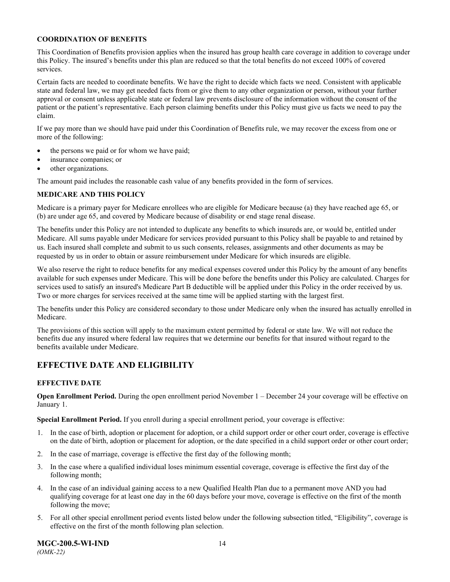### **COORDINATION OF BENEFITS**

This Coordination of Benefits provision applies when the insured has group health care coverage in addition to coverage under this Policy. The insured's benefits under this plan are reduced so that the total benefits do not exceed 100% of covered services.

Certain facts are needed to coordinate benefits. We have the right to decide which facts we need. Consistent with applicable state and federal law, we may get needed facts from or give them to any other organization or person, without your further approval or consent unless applicable state or federal law prevents disclosure of the information without the consent of the patient or the patient's representative. Each person claiming benefits under this Policy must give us facts we need to pay the claim.

If we pay more than we should have paid under this Coordination of Benefits rule, we may recover the excess from one or more of the following:

- the persons we paid or for whom we have paid;
- insurance companies; or
- other organizations.

The amount paid includes the reasonable cash value of any benefits provided in the form of services.

### **MEDICARE AND THIS POLICY**

Medicare is a primary payer for Medicare enrollees who are eligible for Medicare because (a) they have reached age 65, or (b) are under age 65, and covered by Medicare because of disability or end stage renal disease.

The benefits under this Policy are not intended to duplicate any benefits to which insureds are, or would be, entitled under Medicare. All sums payable under Medicare for services provided pursuant to this Policy shall be payable to and retained by us. Each insured shall complete and submit to us such consents, releases, assignments and other documents as may be requested by us in order to obtain or assure reimbursement under Medicare for which insureds are eligible.

We also reserve the right to reduce benefits for any medical expenses covered under this Policy by the amount of any benefits available for such expenses under Medicare. This will be done before the benefits under this Policy are calculated. Charges for services used to satisfy an insured's Medicare Part B deductible will be applied under this Policy in the order received by us. Two or more charges for services received at the same time will be applied starting with the largest first.

The benefits under this Policy are considered secondary to those under Medicare only when the insured has actually enrolled in Medicare.

The provisions of this section will apply to the maximum extent permitted by federal or state law. We will not reduce the benefits due any insured where federal law requires that we determine our benefits for that insured without regard to the benefits available under Medicare.

# <span id="page-16-0"></span>**EFFECTIVE DATE AND ELIGIBILITY**

### <span id="page-16-1"></span>**EFFECTIVE DATE**

**Open Enrollment Period.** During the open enrollment period November 1 – December 24 your coverage will be effective on January 1.

**Special Enrollment Period.** If you enroll during a special enrollment period, your coverage is effective:

- 1. In the case of birth, adoption or placement for adoption, or a child support order or other court order, coverage is effective on the date of birth, adoption or placement for adoption, or the date specified in a child support order or other court order;
- 2. In the case of marriage, coverage is effective the first day of the following month;
- 3. In the case where a qualified individual loses minimum essential coverage, coverage is effective the first day of the following month;
- 4. In the case of an individual gaining access to a new Qualified Health Plan due to a permanent move AND you had qualifying coverage for at least one day in the 60 days before your move, coverage is effective on the first of the month following the move;
- 5. For all other special enrollment period events listed below under the following subsection titled, "Eligibility", coverage is effective on the first of the month following plan selection.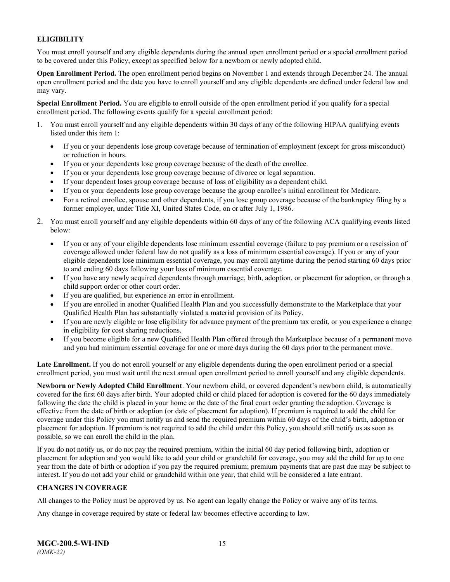### <span id="page-17-0"></span>**ELIGIBILITY**

You must enroll yourself and any eligible dependents during the annual open enrollment period or a special enrollment period to be covered under this Policy, except as specified below for a newborn or newly adopted child.

**Open Enrollment Period.** The open enrollment period begins on November 1 and extends through December 24. The annual open enrollment period and the date you have to enroll yourself and any eligible dependents are defined under federal law and may vary.

**Special Enrollment Period.** You are eligible to enroll outside of the open enrollment period if you qualify for a special enrollment period. The following events qualify for a special enrollment period:

- 1. You must enroll yourself and any eligible dependents within 30 days of any of the following HIPAA qualifying events listed under this item 1:
	- If you or your dependents lose group coverage because of termination of employment (except for gross misconduct) or reduction in hours.
	- If you or your dependents lose group coverage because of the death of the enrollee.
	- If you or your dependents lose group coverage because of divorce or legal separation.
	- If your dependent loses group coverage because of loss of eligibility as a dependent child.
	- If you or your dependents lose group coverage because the group enrollee's initial enrollment for Medicare.
	- For a retired enrollee, spouse and other dependents, if you lose group coverage because of the bankruptcy filing by a former employer, under Title XI, United States Code, on or after July 1, 1986.
- 2. You must enroll yourself and any eligible dependents within 60 days of any of the following ACA qualifying events listed below:
	- If you or any of your eligible dependents lose minimum essential coverage (failure to pay premium or a rescission of coverage allowed under federal law do not qualify as a loss of minimum essential coverage). If you or any of your eligible dependents lose minimum essential coverage, you may enroll anytime during the period starting 60 days prior to and ending 60 days following your loss of minimum essential coverage.
	- If you have any newly acquired dependents through marriage, birth, adoption, or placement for adoption, or through a child support order or other court order.
	- If you are qualified, but experience an error in enrollment.
	- If you are enrolled in another Qualified Health Plan and you successfully demonstrate to the Marketplace that your Qualified Health Plan has substantially violated a material provision of its Policy.
	- If you are newly eligible or lose eligibility for advance payment of the premium tax credit, or you experience a change in eligibility for cost sharing reductions.
	- If you become eligible for a new Qualified Health Plan offered through the Marketplace because of a permanent move and you had minimum essential coverage for one or more days during the 60 days prior to the permanent move.

**Late Enrollment.** If you do not enroll yourself or any eligible dependents during the open enrollment period or a special enrollment period, you must wait until the next annual open enrollment period to enroll yourself and any eligible dependents.

**Newborn or Newly Adopted Child Enrollment**. Your newborn child, or covered dependent's newborn child, is automatically covered for the first 60 days after birth. Your adopted child or child placed for adoption is covered for the 60 days immediately following the date the child is placed in your home or the date of the final court order granting the adoption. Coverage is effective from the date of birth or adoption (or date of placement for adoption). If premium is required to add the child for coverage under this Policy you must notify us and send the required premium within 60 days of the child's birth, adoption or placement for adoption. If premium is not required to add the child under this Policy, you should still notify us as soon as possible, so we can enroll the child in the plan.

If you do not notify us, or do not pay the required premium, within the initial 60 day period following birth, adoption or placement for adoption and you would like to add your child or grandchild for coverage, you may add the child for up to one year from the date of birth or adoption if you pay the required premium; premium payments that are past due may be subject to interest. If you do not add your child or grandchild within one year, that child will be considered a late entrant.

### <span id="page-17-1"></span>**CHANGES IN COVERAGE**

All changes to the Policy must be approved by us. No agent can legally change the Policy or waive any of its terms.

Any change in coverage required by state or federal law becomes effective according to law.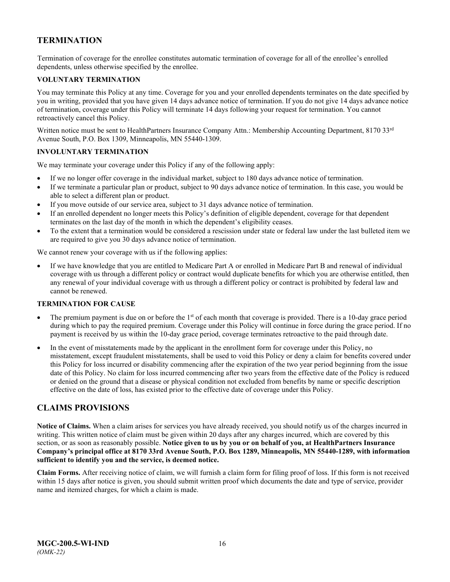# <span id="page-18-0"></span>**TERMINATION**

Termination of coverage for the enrollee constitutes automatic termination of coverage for all of the enrollee's enrolled dependents, unless otherwise specified by the enrollee.

### <span id="page-18-1"></span>**VOLUNTARY TERMINATION**

You may terminate this Policy at any time. Coverage for you and your enrolled dependents terminates on the date specified by you in writing, provided that you have given 14 days advance notice of termination. If you do not give 14 days advance notice of termination, coverage under this Policy will terminate 14 days following your request for termination. You cannot retroactively cancel this Policy.

Written notice must be sent to HealthPartners Insurance Company Attn.: Membership Accounting Department, 8170 33<sup>rd</sup> Avenue South, P.O. Box 1309, Minneapolis, MN 55440-1309.

### <span id="page-18-2"></span>**INVOLUNTARY TERMINATION**

We may terminate your coverage under this Policy if any of the following apply:

- If we no longer offer coverage in the individual market, subject to 180 days advance notice of termination.
- If we terminate a particular plan or product, subject to 90 days advance notice of termination. In this case, you would be able to select a different plan or product.
- If you move outside of our service area, subject to 31 days advance notice of termination.
- If an enrolled dependent no longer meets this Policy's definition of eligible dependent, coverage for that dependent terminates on the last day of the month in which the dependent's eligibility ceases.
- To the extent that a termination would be considered a rescission under state or federal law under the last bulleted item we are required to give you 30 days advance notice of termination.

We cannot renew your coverage with us if the following applies:

• If we have knowledge that you are entitled to Medicare Part A or enrolled in Medicare Part B and renewal of individual coverage with us through a different policy or contract would duplicate benefits for which you are otherwise entitled, then any renewal of your individual coverage with us through a different policy or contract is prohibited by federal law and cannot be renewed.

### <span id="page-18-3"></span>**TERMINATION FOR CAUSE**

- The premium payment is due on or before the 1<sup>st</sup> of each month that coverage is provided. There is a 10-day grace period during which to pay the required premium. Coverage under this Policy will continue in force during the grace period. If no payment is received by us within the 10-day grace period, coverage terminates retroactive to the paid through date.
- In the event of misstatements made by the applicant in the enrollment form for coverage under this Policy, no misstatement, except fraudulent misstatements, shall be used to void this Policy or deny a claim for benefits covered under this Policy for loss incurred or disability commencing after the expiration of the two year period beginning from the issue date of this Policy. No claim for loss incurred commencing after two years from the effective date of the Policy is reduced or denied on the ground that a disease or physical condition not excluded from benefits by name or specific description effective on the date of loss, has existed prior to the effective date of coverage under this Policy.

### <span id="page-18-4"></span>**CLAIMS PROVISIONS**

**Notice of Claims.** When a claim arises for services you have already received, you should notify us of the charges incurred in writing. This written notice of claim must be given within 20 days after any charges incurred, which are covered by this section, or as soon as reasonably possible. **Notice given to us by you or on behalf of you, at HealthPartners Insurance Company's principal office at 8170 33rd Avenue South, P.O. Box 1289, Minneapolis, MN 55440-1289, with information sufficient to identify you and the service, is deemed notice.**

**Claim Forms.** After receiving notice of claim, we will furnish a claim form for filing proof of loss. If this form is not received within 15 days after notice is given, you should submit written proof which documents the date and type of service, provider name and itemized charges, for which a claim is made.